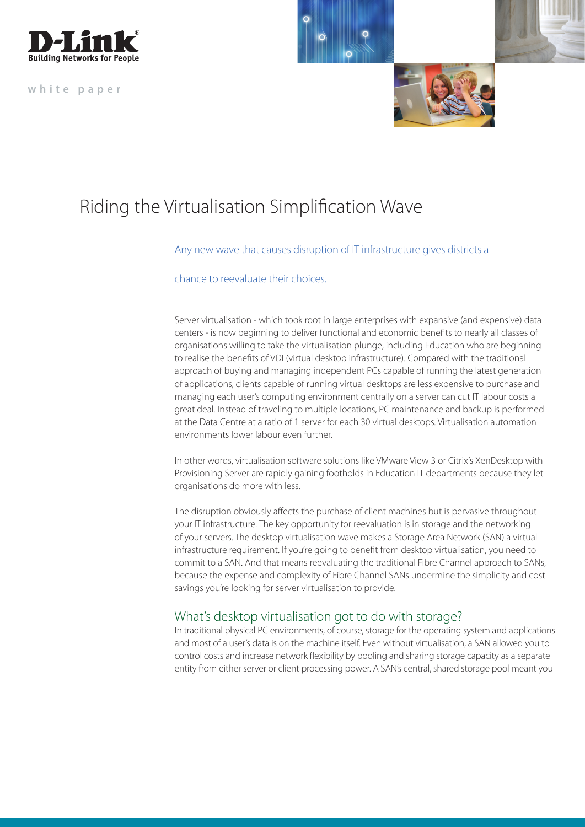

**white paper**



# Riding the Virtualisation Simplification Wave

#### Any new wave that causes disruption of IT infrastructure gives districts a

chance to reevaluate their choices.

Server virtualisation - which took root in large enterprises with expansive (and expensive) data centers - is now beginning to deliver functional and economic benefits to nearly all classes of organisations willing to take the virtualisation plunge, including Education who are beginning to realise the benefits of VDI (virtual desktop infrastructure). Compared with the traditional approach of buying and managing independent PCs capable of running the latest generation of applications, clients capable of running virtual desktops are less expensive to purchase and managing each user's computing environment centrally on a server can cut IT labour costs a great deal. Instead of traveling to multiple locations, PC maintenance and backup is performed at the Data Centre at a ratio of 1 server for each 30 virtual desktops. Virtualisation automation environments lower labour even further.

In other words, virtualisation software solutions like VMware View 3 or Citrix's XenDesktop with Provisioning Server are rapidly gaining footholds in Education IT departments because they let organisations do more with less.

The disruption obviously affects the purchase of client machines but is pervasive throughout your IT infrastructure. The key opportunity for reevaluation is in storage and the networking of your servers. The desktop virtualisation wave makes a Storage Area Network (SAN) a virtual infrastructure requirement. If you're going to benefit from desktop virtualisation, you need to commit to a SAN. And that means reevaluating the traditional Fibre Channel approach to SANs, because the expense and complexity of Fibre Channel SANs undermine the simplicity and cost savings you're looking for server virtualisation to provide.

## What's desktop virtualisation got to do with storage?

In traditional physical PC environments, of course, storage for the operating system and applications and most of a user's data is on the machine itself. Even without virtualisation, a SAN allowed you to control costs and increase network flexibility by pooling and sharing storage capacity as a separate entity from either server or client processing power. A SAN's central, shared storage pool meant you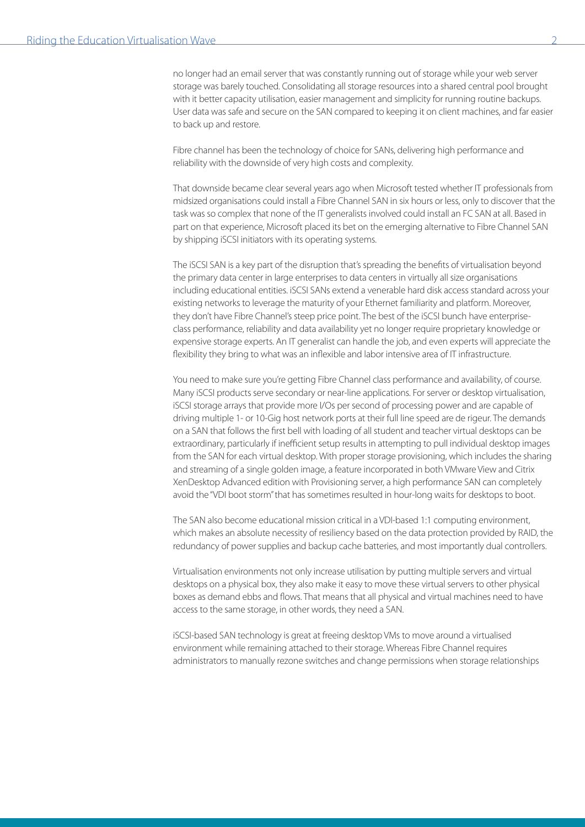no longer had an email server that was constantly running out of storage while your web server storage was barely touched. Consolidating all storage resources into a shared central pool brought with it better capacity utilisation, easier management and simplicity for running routine backups. User data was safe and secure on the SAN compared to keeping it on client machines, and far easier to back up and restore.

Fibre channel has been the technology of choice for SANs, delivering high performance and reliability with the downside of very high costs and complexity.

That downside became clear several years ago when Microsoft tested whether IT professionals from midsized organisations could install a Fibre Channel SAN in six hours or less, only to discover that the task was so complex that none of the IT generalists involved could install an FC SAN at all. Based in part on that experience, Microsoft placed its bet on the emerging alternative to Fibre Channel SAN by shipping iSCSI initiators with its operating systems.

The iSCSI SAN is a key part of the disruption that's spreading the benefits of virtualisation beyond the primary data center in large enterprises to data centers in virtually all size organisations including educational entities. iSCSI SANs extend a venerable hard disk access standard across your existing networks to leverage the maturity of your Ethernet familiarity and platform. Moreover, they don't have Fibre Channel's steep price point. The best of the iSCSI bunch have enterpriseclass performance, reliability and data availability yet no longer require proprietary knowledge or expensive storage experts. An IT generalist can handle the job, and even experts will appreciate the flexibility they bring to what was an inflexible and labor intensive area of IT infrastructure.

You need to make sure you're getting Fibre Channel class performance and availability, of course. Many iSCSI products serve secondary or near-line applications. For server or desktop virtualisation, iSCSI storage arrays that provide more I/Os per second of processing power and are capable of driving multiple 1- or 10-Gig host network ports at their full line speed are de rigeur. The demands on a SAN that follows the first bell with loading of all student and teacher virtual desktops can be extraordinary, particularly if inefficient setup results in attempting to pull individual desktop images from the SAN for each virtual desktop. With proper storage provisioning, which includes the sharing and streaming of a single golden image, a feature incorporated in both VMware View and Citrix XenDesktop Advanced edition with Provisioning server, a high performance SAN can completely avoid the "VDI boot storm" that has sometimes resulted in hour-long waits for desktops to boot.

The SAN also become educational mission critical in a VDI-based 1:1 computing environment, which makes an absolute necessity of resiliency based on the data protection provided by RAID, the redundancy of power supplies and backup cache batteries, and most importantly dual controllers.

Virtualisation environments not only increase utilisation by putting multiple servers and virtual desktops on a physical box, they also make it easy to move these virtual servers to other physical boxes as demand ebbs and flows. That means that all physical and virtual machines need to have access to the same storage, in other words, they need a SAN.

iSCSI-based SAN technology is great at freeing desktop VMs to move around a virtualised environment while remaining attached to their storage. Whereas Fibre Channel requires administrators to manually rezone switches and change permissions when storage relationships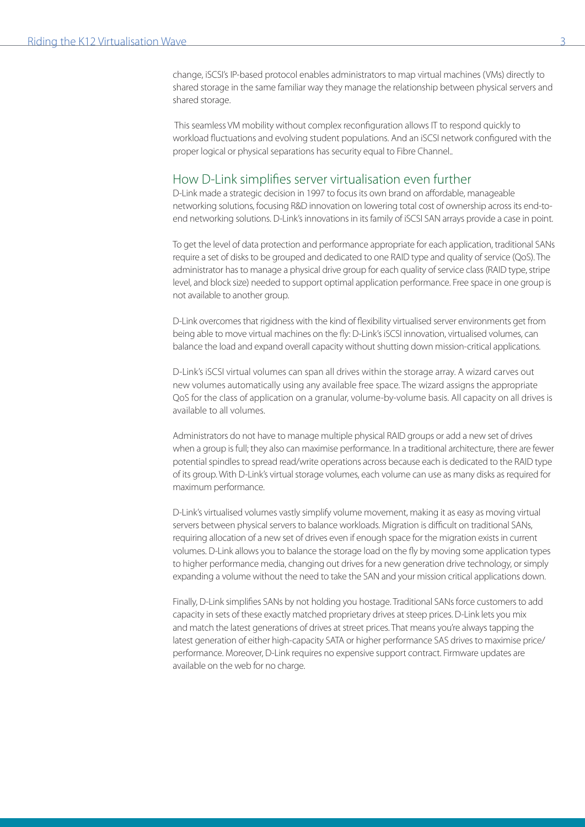change, iSCSI's IP-based protocol enables administrators to map virtual machines (VMs) directly to shared storage in the same familiar way they manage the relationship between physical servers and shared storage.

 This seamless VM mobility without complex reconfiguration allows IT to respond quickly to workload fluctuations and evolving student populations. And an iSCSI network configured with the proper logical or physical separations has security equal to Fibre Channel..

#### How D-Link simplifies server virtualisation even further

D-Link made a strategic decision in 1997 to focus its own brand on affordable, manageable networking solutions, focusing R&D innovation on lowering total cost of ownership across its end-toend networking solutions. D-Link's innovations in its family of iSCSI SAN arrays provide a case in point.

To get the level of data protection and performance appropriate for each application, traditional SANs require a set of disks to be grouped and dedicated to one RAID type and quality of service (QoS). The administrator has to manage a physical drive group for each quality of service class (RAID type, stripe level, and block size) needed to support optimal application performance. Free space in one group is not available to another group.

D-Link overcomes that rigidness with the kind of flexibility virtualised server environments get from being able to move virtual machines on the fly: D-Link's iSCSI innovation, virtualised volumes, can balance the load and expand overall capacity without shutting down mission-critical applications.

D-Link's iSCSI virtual volumes can span all drives within the storage array. A wizard carves out new volumes automatically using any available free space. The wizard assigns the appropriate QoS for the class of application on a granular, volume-by-volume basis. All capacity on all drives is available to all volumes.

Administrators do not have to manage multiple physical RAID groups or add a new set of drives when a group is full; they also can maximise performance. In a traditional architecture, there are fewer potential spindles to spread read/write operations across because each is dedicated to the RAID type of its group. With D-Link's virtual storage volumes, each volume can use as many disks as required for maximum performance.

D-Link's virtualised volumes vastly simplify volume movement, making it as easy as moving virtual servers between physical servers to balance workloads. Migration is difficult on traditional SANs, requiring allocation of a new set of drives even if enough space for the migration exists in current volumes. D-Link allows you to balance the storage load on the fly by moving some application types to higher performance media, changing out drives for a new generation drive technology, or simply expanding a volume without the need to take the SAN and your mission critical applications down.

Finally, D-Link simplifies SANs by not holding you hostage. Traditional SANs force customers to add capacity in sets of these exactly matched proprietary drives at steep prices. D-Link lets you mix and match the latest generations of drives at street prices. That means you're always tapping the latest generation of either high-capacity SATA or higher performance SAS drives to maximise price/ performance. Moreover, D-Link requires no expensive support contract. Firmware updates are available on the web for no charge.